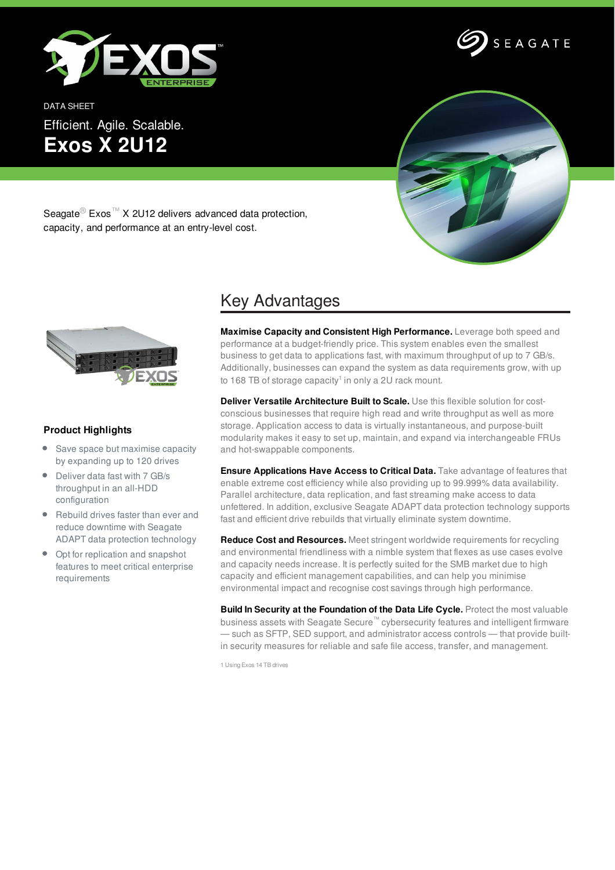

DATA SHEET Efficient. Agile. Scalable. **Exos X 2U12**





Seagate<sup>®</sup> Exos<sup>™</sup> X 2U12 delivers advanced data protection, capacity, and performance at an entry-level cost.



## **Product Highlights**

- Save space but maximise capacity by expanding up to 120 drives
- Deliver data fast with 7 GB/s throughput in an all-HDD configuration
- Rebuild drives faster than ever and reduce downtime with Seagate ADAPT data protection technology
- Opt for replication and snapshot features to meet critical enterprise requirements

## Key Advantages

**Maximise Capacity and Consistent High Performance.** Leverage both speed and performance at a budget-friendly price. This system enables even the smallest business to get data to applications fast, with maximum throughput of up to 7 GB/s. Additionally, businesses can expand the system as data requirements grow, with up to 168 TB of storage capacity<sup>1</sup> in only a 2U rack mount.

**Deliver Versatile Architecture Built to Scale.** Use this flexible solution for costconscious businesses that require high read and write throughput as well as more storage. Application access to data is virtually instantaneous, and purpose-built modularity makes it easy to set up, maintain, and expand via interchangeable FRUs and hot-swappable components.

**Ensure Applications Have Access to Critical Data.** Take advantage of features that enable extreme cost efficiency while also providing up to 99.999% data availability. Parallel architecture, data replication, and fast streaming make access to data unfettered. In addition, exclusive Seagate ADAPT data protection technology supports fast and efficient drive rebuilds that virtually eliminate system downtime.

**Reduce Cost and Resources.** Meet stringent worldwide requirements for recycling and environmental friendliness with a nimble system that flexes as use cases evolve and capacity needs increase. It is perfectly suited for the SMB market due to high capacity and efficient management capabilities, and can help you minimise environmental impact and recognise cost savings through high performance.

**Build In Security at the Foundation of the Data Life Cycle.** Protect the most valuable business assets with Seagate Secure™ cybersecurity features and intelligent firmware — such as SFTP, SED support, and administrator access controls — that provide builtin security measures for reliable and safe file access, transfer, and management.

1 Using Exos 14 TB drives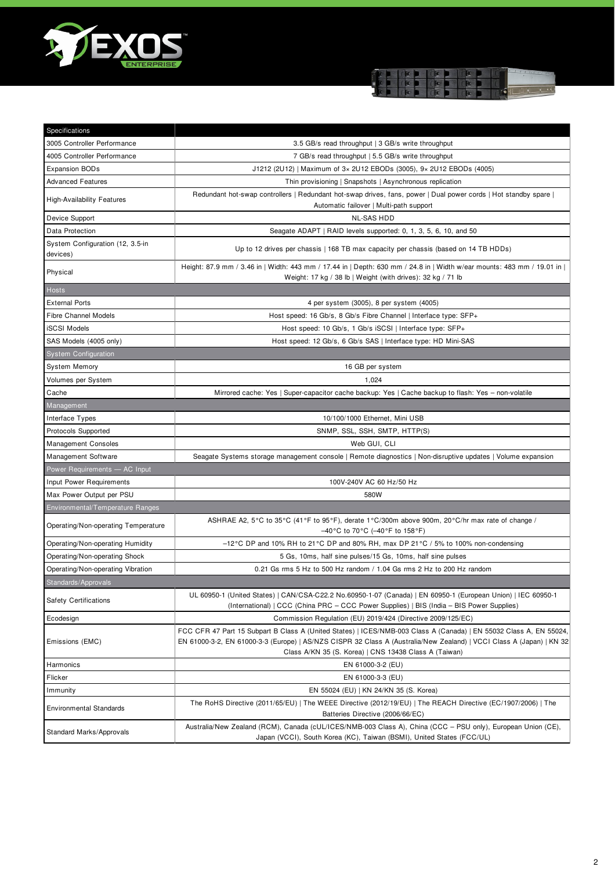



| Specifications                               |                                                                                                                                                                                                                                                                                                     |
|----------------------------------------------|-----------------------------------------------------------------------------------------------------------------------------------------------------------------------------------------------------------------------------------------------------------------------------------------------------|
| 3005 Controller Performance                  | 3.5 GB/s read throughput   3 GB/s write throughput                                                                                                                                                                                                                                                  |
| 4005 Controller Performance                  | 7 GB/s read throughput   5.5 GB/s write throughput                                                                                                                                                                                                                                                  |
| <b>Expansion BODs</b>                        | J1212 (2U12)   Maximum of 3x 2U12 EBODs (3005), 9x 2U12 EBODs (4005)                                                                                                                                                                                                                                |
| <b>Advanced Features</b>                     | Thin provisioning   Snapshots   Asynchronous replication                                                                                                                                                                                                                                            |
| <b>High-Availability Features</b>            | Redundant hot-swap controllers   Redundant hot-swap drives, fans, power   Dual power cords   Hot standby spare  <br>Automatic failover   Multi-path support                                                                                                                                         |
| Device Support                               | <b>NL-SAS HDD</b>                                                                                                                                                                                                                                                                                   |
| Data Protection                              | Seagate ADAPT   RAID levels supported: 0, 1, 3, 5, 6, 10, and 50                                                                                                                                                                                                                                    |
| System Configuration (12, 3.5-in<br>devices) | Up to 12 drives per chassis   168 TB max capacity per chassis (based on 14 TB HDDs)                                                                                                                                                                                                                 |
| Physical                                     | Height: 87.9 mm / 3.46 in   Width: 443 mm / 17.44 in   Depth: 630 mm / 24.8 in   Width w/ear mounts: 483 mm / 19.01 in  <br>Weight: 17 kg / 38 lb   Weight (with drives): 32 kg / 71 lb                                                                                                             |
| <b>Hosts</b>                                 |                                                                                                                                                                                                                                                                                                     |
| <b>External Ports</b>                        | 4 per system (3005), 8 per system (4005)                                                                                                                                                                                                                                                            |
| <b>Fibre Channel Models</b>                  | Host speed: 16 Gb/s, 8 Gb/s Fibre Channel   Interface type: SFP+                                                                                                                                                                                                                                    |
| <b>iSCSI Models</b>                          | Host speed: 10 Gb/s, 1 Gb/s iSCSI   Interface type: SFP+                                                                                                                                                                                                                                            |
| SAS Models (4005 only)                       | Host speed: 12 Gb/s, 6 Gb/s SAS   Interface type: HD Mini-SAS                                                                                                                                                                                                                                       |
| <b>System Configuration</b>                  |                                                                                                                                                                                                                                                                                                     |
| <b>System Memory</b>                         | 16 GB per system                                                                                                                                                                                                                                                                                    |
| Volumes per System                           | 1,024                                                                                                                                                                                                                                                                                               |
| Cache                                        | Mirrored cache: Yes   Super-capacitor cache backup: Yes   Cache backup to flash: Yes - non-volatile                                                                                                                                                                                                 |
| Management                                   |                                                                                                                                                                                                                                                                                                     |
| Interface Types                              | 10/100/1000 Ethernet, Mini USB                                                                                                                                                                                                                                                                      |
| Protocols Supported                          | SNMP, SSL, SSH, SMTP, HTTP(S)                                                                                                                                                                                                                                                                       |
| <b>Management Consoles</b>                   | Web GUI, CLI                                                                                                                                                                                                                                                                                        |
| Management Software                          | Seagate Systems storage management console   Remote diagnostics   Non-disruptive updates   Volume expansion                                                                                                                                                                                         |
| Power Requirements - AC Input                |                                                                                                                                                                                                                                                                                                     |
| Input Power Requirements                     | 100V-240V AC 60 Hz/50 Hz                                                                                                                                                                                                                                                                            |
| Max Power Output per PSU                     | 580W                                                                                                                                                                                                                                                                                                |
| Environmental/Temperature Ranges             |                                                                                                                                                                                                                                                                                                     |
| Operating/Non-operating Temperature          | ASHRAE A2, 5°C to 35°C (41°F to 95°F), derate 1°C/300m above 900m, 20°C/hr max rate of change /<br>-40°C to 70°C (-40°F to 158°F)                                                                                                                                                                   |
| Operating/Non-operating Humidity             | $-12^{\circ}$ C DP and 10% RH to 21 °C DP and 80% RH, max DP 21 °C / 5% to 100% non-condensing                                                                                                                                                                                                      |
| Operating/Non-operating Shock                | 5 Gs, 10ms, half sine pulses/15 Gs, 10ms, half sine pulses                                                                                                                                                                                                                                          |
| Operating/Non-operating Vibration            | 0.21 Gs rms 5 Hz to 500 Hz random / 1.04 Gs rms 2 Hz to 200 Hz random                                                                                                                                                                                                                               |
| Standards/Approvals                          |                                                                                                                                                                                                                                                                                                     |
| <b>Safety Certifications</b>                 | UL 60950-1 (United States)   CAN/CSA-C22.2 No.60950-1-07 (Canada)   EN 60950-1 (European Union)   IEC 60950-1<br>(International)   CCC (China PRC – CCC Power Supplies)   BIS (India – BIS Power Supplies)                                                                                          |
| Ecodesign                                    | Commission Regulation (EU) 2019/424 (Directive 2009/125/EC)                                                                                                                                                                                                                                         |
| Emissions (EMC)                              | FCC CFR 47 Part 15 Subpart B Class A (United States)   ICES/NMB-003 Class A (Canada)   EN 55032 Class A, EN 55024,<br>EN 61000-3-2, EN 61000-3-3 (Europe)   AS/NZS CISPR 32 Class A (Australia/New Zealand)   VCCI Class A (Japan)   KN 32<br>Class A/KN 35 (S. Korea)   CNS 13438 Class A (Taiwan) |
| Harmonics                                    | EN 61000-3-2 (EU)                                                                                                                                                                                                                                                                                   |
| Flicker                                      | EN 61000-3-3 (EU)                                                                                                                                                                                                                                                                                   |
| Immunity                                     | EN 55024 (EU)   KN 24/KN 35 (S. Korea)                                                                                                                                                                                                                                                              |
| <b>Environmental Standards</b>               | The RoHS Directive (2011/65/EU)   The WEEE Directive (2012/19/EU)   The REACH Directive (EC/1907/2006)   The<br>Batteries Directive (2006/66/EC)                                                                                                                                                    |
| Standard Marks/Approvals                     | Australia/New Zealand (RCM), Canada (cUL/ICES/NMB-003 Class A), China (CCC - PSU only), European Union (CE),<br>Japan (VCCI), South Korea (KC), Taiwan (BSMI), United States (FCC/UL)                                                                                                               |